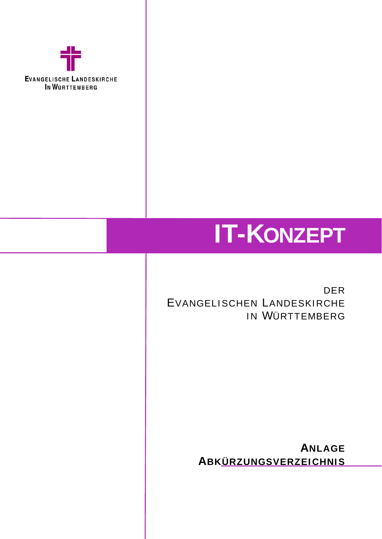

## **IT-KONZEPT**

DER EVANGELISCHEN LANDESKIRCHE IN W ÜRTTEMBERG

> **A NLAGE A BKÜRZUNGSVERZEICHNIS**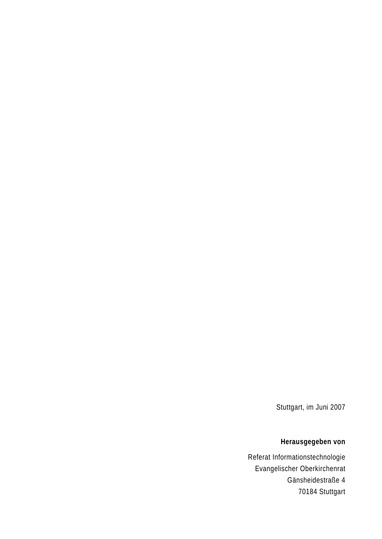Stuttgart, im Juni 2007

## **Herausgegeben von**

Referat Informationstechnologie Evangelischer Oberkirchenrat Gänsheidestraße 4 70184 Stuttgart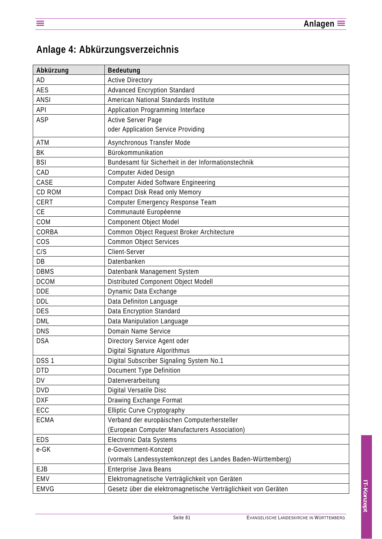## **Anlage 4: Abkürzungsverzeichnis**

| Abkürzung        | <b>Bedeutung</b>                                               |
|------------------|----------------------------------------------------------------|
| AD               | <b>Active Directory</b>                                        |
| <b>AES</b>       | <b>Advanced Encryption Standard</b>                            |
| <b>ANSI</b>      | American National Standards Institute                          |
| API              | Application Programming Interface                              |
| ASP              | <b>Active Server Page</b>                                      |
|                  | oder Application Service Providing                             |
| <b>ATM</b>       | Asynchronous Transfer Mode                                     |
| BK               | Bürokommunikation                                              |
| <b>BSI</b>       | Bundesamt für Sicherheit in der Informationstechnik            |
| CAD              | <b>Computer Aided Design</b>                                   |
| CASE             | <b>Computer Aided Software Engineering</b>                     |
| CD ROM           | Compact Disk Read only Memory                                  |
| <b>CERT</b>      | Computer Emergency Response Team                               |
| <b>CE</b>        | Communauté Européenne                                          |
| COM              | <b>Component Object Model</b>                                  |
| CORBA            | Common Object Request Broker Architecture                      |
| <b>COS</b>       | <b>Common Object Services</b>                                  |
| C/S              | Client-Server                                                  |
| DB               | Datenbanken                                                    |
| <b>DBMS</b>      | Datenbank Management System                                    |
| <b>DCOM</b>      | Distributed Component Object Modell                            |
| <b>DDE</b>       | Dynamic Data Exchange                                          |
| DDL              | Data Definiton Language                                        |
| <b>DES</b>       | Data Encryption Standard                                       |
| DML              | Data Manipulation Language                                     |
| <b>DNS</b>       | Domain Name Service                                            |
| <b>DSA</b>       | Directory Service Agent oder                                   |
|                  | Digital Signature Algorithmus                                  |
| DSS <sub>1</sub> | Digital Subscriber Signaling System No.1                       |
| <b>DTD</b>       | Document Type Definition                                       |
| DV               | Datenverarbeitung                                              |
| <b>DVD</b>       | Digital Versatile Disc                                         |
| <b>DXF</b>       | Drawing Exchange Format                                        |
| ECC              | Elliptic Curve Cryptography                                    |
| <b>ECMA</b>      | Verband der europäischen Computerhersteller                    |
|                  | (European Computer Manufacturers Association)                  |
| <b>EDS</b>       | <b>Electronic Data Systems</b>                                 |
| e-GK             | e-Government-Konzept                                           |
|                  | (vormals Landessystemkonzept des Landes Baden-Württemberg)     |
| <b>EJB</b>       | Enterprise Java Beans                                          |
| EMV              | Elektromagnetische Verträglichkeit von Geräten                 |
| <b>EMVG</b>      | Gesetz über die elektromagnetische Verträglichkeit von Geräten |
|                  |                                                                |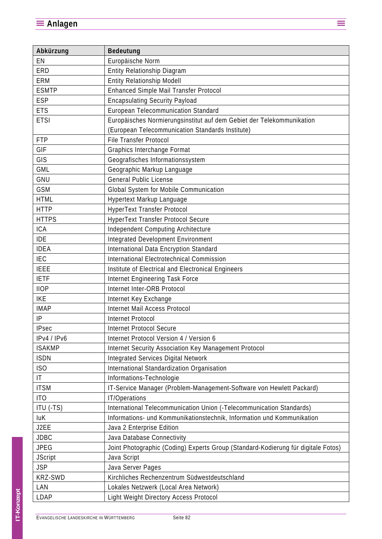| Abkürzung       | <b>Bedeutung</b>                                                                  |
|-----------------|-----------------------------------------------------------------------------------|
| EN              | Europäische Norm                                                                  |
| ERD             | Entity Relationship Diagram                                                       |
| ERM             | Entity Relationship Modell                                                        |
| <b>ESMTP</b>    | Enhanced Simple Mail Transfer Protocol                                            |
| <b>ESP</b>      | <b>Encapsulating Security Payload</b>                                             |
| <b>ETS</b>      | European Telecommunication Standard                                               |
| <b>ETSI</b>     | Europäisches Normierungsinstitut auf dem Gebiet der Telekommunikation             |
|                 | (European Telecommunication Standards Institute)                                  |
| <b>FTP</b>      | <b>File Transfer Protocol</b>                                                     |
| GIF             | Graphics Interchange Format                                                       |
| GIS             | Geografisches Informationssystem                                                  |
| <b>GML</b>      | Geographic Markup Language                                                        |
| GNU             | <b>General Public License</b>                                                     |
| <b>GSM</b>      | Global System for Mobile Communication                                            |
| <b>HTML</b>     | Hypertext Markup Language                                                         |
| <b>HTTP</b>     | HyperText Transfer Protocol                                                       |
| <b>HTTPS</b>    | <b>HyperText Transfer Protocol Secure</b>                                         |
| <b>ICA</b>      | Independent Computing Architecture                                                |
| <b>IDE</b>      | Integrated Development Environment                                                |
| <b>IDEA</b>     | International Data Encryption Standard                                            |
| <b>IEC</b>      | International Electrotechnical Commission                                         |
| <b>IEEE</b>     | Institute of Electrical and Electronical Engineers                                |
| <b>IETF</b>     | Internet Engineering Task Force                                                   |
| <b>IIOP</b>     | Internet Inter-ORB Protocol                                                       |
| <b>IKE</b>      | Internet Key Exchange                                                             |
| <b>IMAP</b>     | Internet Mail Access Protocol                                                     |
| IP              | Internet Protocol                                                                 |
| <b>IPsec</b>    | <b>Internet Protocol Secure</b>                                                   |
| IPv4 / IPv6     | Internet Protocol Version 4 / Version 6                                           |
| <b>ISAKMP</b>   | Internet Security Association Key Management Protocol                             |
| <b>ISDN</b>     | <b>Integrated Services Digital Network</b>                                        |
| ISO             | International Standardization Organisation                                        |
| IT              | Informations-Technologie                                                          |
| <b>ITSM</b>     | IT-Service Manager (Problem-Management-Software von Hewlett Packard)              |
| IT <sub>O</sub> | IT/Operations                                                                     |
| ITU (-TS)       | International Telecommunication Union (-Telecommunication Standards)              |
| <b>luK</b>      | Informations- und Kommunikationstechnik, Information und Kommunikation            |
| J2EE            | Java 2 Enterprise Edition                                                         |
| <b>JDBC</b>     | Java Database Connectivity                                                        |
| <b>JPEG</b>     | Joint Photographic (Coding) Experts Group (Standard-Kodierung für digitale Fotos) |
| <b>JScript</b>  | Java Script                                                                       |
| <b>JSP</b>      | Java Server Pages                                                                 |
| KRZ-SWD         | Kirchliches Rechenzentrum Südwestdeutschland                                      |
| LAN             | Lokales Netzwerk (Local Area Network)                                             |
| LDAP            | Light Weight Directory Access Protocol                                            |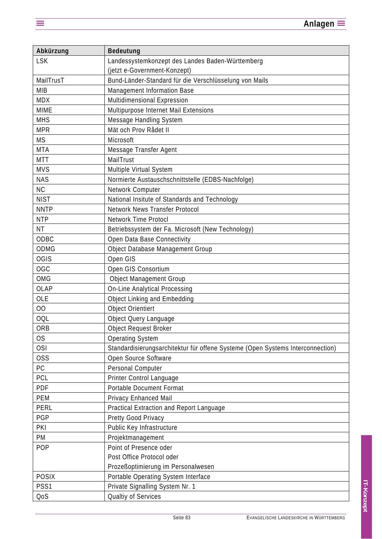| Bedeutung                                                                      |
|--------------------------------------------------------------------------------|
| Landessystemkonzept des Landes Baden-Württemberg                               |
| (jetzt e-Government-Konzept)                                                   |
| Bund-Länder-Standard für die Verschlüsselung von Mails                         |
| Management Information Base                                                    |
| Multidimensional Expression                                                    |
| Multipurpose Internet Mail Extensions                                          |
| Message Handling System                                                        |
| Mät och Prov Rådet II                                                          |
| Microsoft                                                                      |
| Message Transfer Agent                                                         |
| MailTrust                                                                      |
| Multiple Virtual System                                                        |
| Normierte Austauschschnittstelle (EDBS-Nachfolge)                              |
| Network Computer                                                               |
| National Insitute of Standards and Technology                                  |
| <b>Network News Transfer Protocol</b>                                          |
| <b>Network Time Protocl</b>                                                    |
| Betriebssystem der Fa. Microsoft (New Technology)                              |
| Open Data Base Connectivity                                                    |
| Object Database Management Group                                               |
| Open GIS                                                                       |
| Open GIS Consortium                                                            |
| <b>Object Management Group</b>                                                 |
| <b>On-Line Analytical Processing</b>                                           |
| <b>Object Linking and Embedding</b>                                            |
| <b>Object Orientiert</b>                                                       |
| Object Query Language                                                          |
| <b>Object Request Broker</b>                                                   |
| <b>Operating System</b>                                                        |
| Standardisierungsarchitektur für offene Systeme (Open Systems Interconnection) |
| Open Source Software                                                           |
| Personal Computer                                                              |
| Printer Control Language                                                       |
| <b>Portable Document Format</b>                                                |
| Privacy Enhanced Mail                                                          |
| Practical Extraction and Report Language                                       |
| Pretty Good Privacy                                                            |
| Public Key Infrastructure                                                      |
| Projektmanagement                                                              |
| Point of Presence oder                                                         |
| Post Office Protocol oder                                                      |
| Prozeßoptimierung im Personalwesen                                             |
| Portable Operating System Interface                                            |
| Private Signalling System Nr. 1                                                |
| Qualtiy of Services                                                            |
|                                                                                |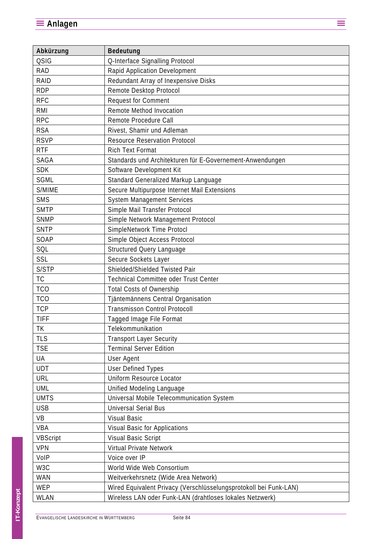| Abkürzung        | <b>Bedeutung</b>                                                  |
|------------------|-------------------------------------------------------------------|
| <b>QSIG</b>      | Q-Interface Signalling Protocol                                   |
| <b>RAD</b>       | Rapid Application Development                                     |
| RAID             | Redundant Array of Inexpensive Disks                              |
| <b>RDP</b>       | Remote Desktop Protocol                                           |
| <b>RFC</b>       | <b>Request for Comment</b>                                        |
| RMI              | Remote Method Invocation                                          |
| <b>RPC</b>       | Remote Procedure Call                                             |
| <b>RSA</b>       | Rivest, Shamir und Adleman                                        |
| <b>RSVP</b>      | <b>Resource Reservation Protocol</b>                              |
| <b>RTF</b>       | <b>Rich Text Format</b>                                           |
| SAGA             | Standards und Architekturen für E-Governement-Anwendungen         |
| <b>SDK</b>       | Software Development Kit                                          |
| <b>SGML</b>      | Standard Generalized Markup Language                              |
| S/MIME           | Secure Multipurpose Internet Mail Extensions                      |
| SMS              | <b>System Management Services</b>                                 |
| <b>SMTP</b>      | Simple Mail Transfer Protocol                                     |
| <b>SNMP</b>      | Simple Network Management Protocol                                |
| <b>SNTP</b>      | SimpleNetwork Time Protocl                                        |
| SOAP             | Simple Object Access Protocol                                     |
| SQL              | Structured Query Language                                         |
| SSL              | Secure Sockets Layer                                              |
| S/STP            | Shielded/Shielded Twisted Pair                                    |
| <b>TC</b>        | Technical Committee oder Trust Center                             |
| <b>TCO</b>       | <b>Total Costs of Ownership</b>                                   |
| <b>TCO</b>       | Tjäntemännens Central Organisation                                |
| <b>TCP</b>       | <b>Transmisson Control Protocoll</b>                              |
| <b>TIFF</b>      | Tagged Image File Format                                          |
| TK               | Telekommunikation                                                 |
| <b>TLS</b>       | <b>Transport Layer Security</b>                                   |
| <b>TSE</b>       | <b>Terminal Server Edition</b>                                    |
| UA               | User Agent                                                        |
| <b>UDT</b>       | <b>User Defined Types</b>                                         |
| URL              | Uniform Resource Locator                                          |
| <b>UML</b>       | Unified Modeling Language                                         |
| <b>UMTS</b>      | Universal Mobile Telecommunication System                         |
| <b>USB</b>       | <b>Universal Serial Bus</b>                                       |
| VB               | <b>Visual Basic</b>                                               |
| VBA              | <b>Visual Basic for Applications</b>                              |
| <b>VBScript</b>  | <b>Visual Basic Script</b>                                        |
| <b>VPN</b>       | Virtual Private Network                                           |
| VoIP             | Voice over IP                                                     |
| W <sub>3</sub> C | World Wide Web Consortium                                         |
| WAN              | Weitverkehrsnetz (Wide Area Network)                              |
| <b>WEP</b>       | Wired Equivalent Privacy (Verschlüsselungsprotokoll bei Funk-LAN) |
| WLAN             | Wireless LAN oder Funk-LAN (drahtloses lokales Netzwerk)          |